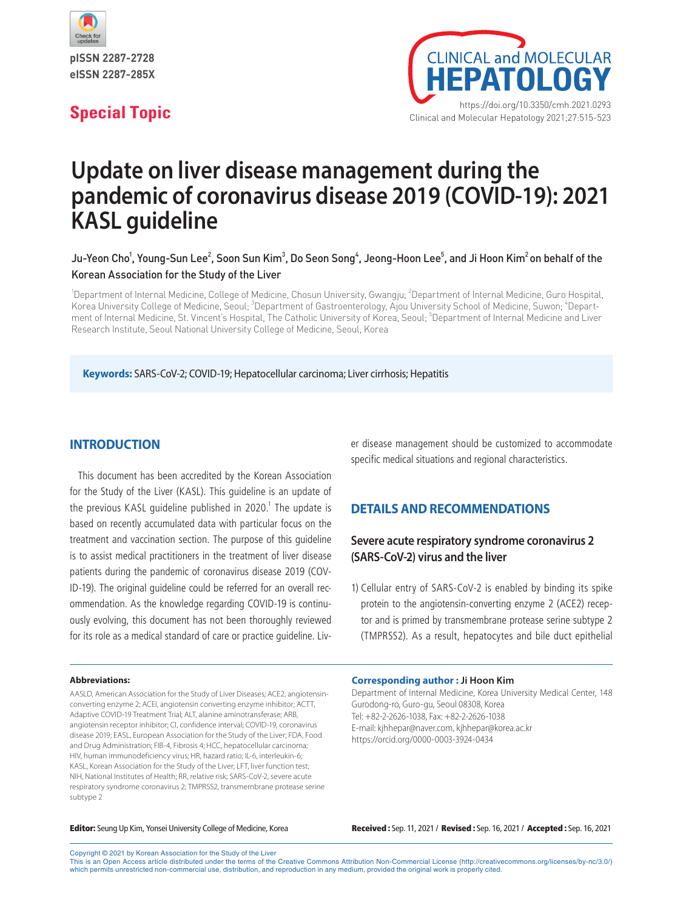

pISSN 2287-2728 eISSN 2287-285X



# **Update on liver disease management during the pandemic of coronavirus disease 2019 (COVID-19): 2021 KASL guideline**

## Ju-Yeon Cho<sup>1</sup>, Young-Sun Lee<sup>2</sup>, Soon Sun Kim<sup>3</sup>, Do Seon Song<sup>4</sup>, Jeong-Hoon Lee<sup>5</sup>, and Ji Hoon Kim<sup>2</sup> on behalf of the Korean Association for the Study of the Liver

<sup>1</sup>Department of Internal Medicine, College of Medicine, Chosun University, Gwangju; <sup>2</sup>Department of Internal Medicine, Guro Hospital, Korea University College of Medicine, Seoul; <sup>3</sup>Department of Gastroenterology, Ajou University School of Medicine, Suwon; <sup>4</sup>Department of Internal Medicine, St. Vincent's Hospital, The Catholic University of Korea, Seoul; <sup>5</sup>Department of Internal Medicine and Liver Research Institute, Seoul National University College of Medicine, Seoul, Korea

**Keywords:** SARS-CoV-2; COVID-19; Hepatocellular carcinoma; Liver cirrhosis; Hepatitis

### **INTRODUCTION**

This document has been accredited by the Korean Association for the Study of the Liver (KASL). This guideline is an update of the previous <code>KASL</code> guideline published in 2020. $^1$  The update is based on recently accumulated data with particular focus on the treatment and vaccination section. The purpose of this guideline is to assist medical practitioners in the treatment of liver disease patients during the pandemic of coronavirus disease 2019 (COV-ID-19). The original guideline could be referred for an overall recommendation. As the knowledge regarding COVID-19 is continuously evolving, this document has not been thoroughly reviewed for its role as a medical standard of care or practice guideline. Liv-

#### **Abbreviations:**

AASLD, American Association for the Study of Liver Diseases; ACE2, angiotensinconverting enzyme 2; ACEI, angiotensin converting enzyme inhibitor; ACTT, Adaptive COVID-19 Treatment Trial; ALT, alanine aminotransferase; ARB, angiotensin receptor inhibitor; CI, confidence interval; COVID-19, coronavirus disease 2019; EASL, European Association for the Study of the Liver; FDA, Food and Drug Administration; FIB-4, Fibrosis 4; HCC, hepatocellular carcinoma; HIV, human immunodeficiency virus; HR, hazard ratio; IL-6, interleukin-6; KASL, Korean Association for the Study of the Liver; LFT, liver function test; NIH, National Institutes of Health; RR, relative risk; SARS-CoV-2, severe acute respiratory syndrome coronavirus 2; TMPRSS2, transmembrane protease serine subtype 2

er disease management should be customized to accommodate specific medical situations and regional characteristics.

#### **DETAILS AND RECOMMENDATIONS**

# **Severe acute respiratory syndrome coronavirus 2 (SARS-CoV-2) virus and the liver**

1) Cellular entry of SARS-CoV-2 is enabled by binding its spike protein to the angiotensin-converting enzyme 2 (ACE2) receptor and is primed by transmembrane protease serine subtype 2 (TMPRSS2). As a result, hepatocytes and bile duct epithelial

**Corresponding author : Ji Hoon Kim**

Department of Internal Medicine, Korea University Medical Center, 148 Gurodong-ro, Guro-gu, Seoul 08308, Korea Tel: +82-2-2626-1038, Fax: +82-2-2626-1038 E-mail: kjhhepar@naver.com, kjhhepar@korea.ac.kr https://orcid.org/0000-0003-3924-0434

Editor: Seung Up Kim, Yonsei University College of Medicine, Korea Received : Sep. 11, 2021 / Revised : Sep. 16, 2021 / Accepted : Sep. 16, 2021

Copyright © 2021 by Korean Association for the Study of the Liver

This is an Open Access article distributed under the terms of the Creative Commons Attribution Non-Commercial License (http://creativecommons.org/licenses/by-nc/3.0/) which permits unrestricted non-commercial use, distribution, and reproduction in any medium, provided the original work is properly cited.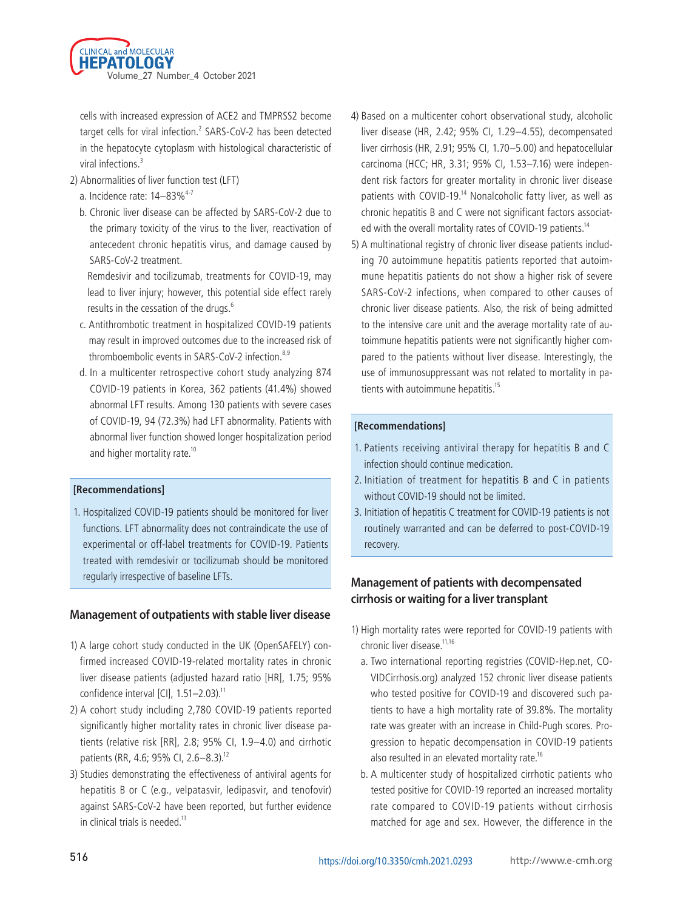

cells with increased expression of ACE2 and TMPRSS2 become target cells for viral infection.<sup>2</sup> SARS-CoV-2 has been detected in the hepatocyte cytoplasm with histological characteristic of viral infections.<sup>3</sup>

- 2) Abnormalities of liver function test (LFT)
	- a. Incidence rate:  $14-83\%^{4-7}$
	- b. Chronic liver disease can be affected by SARS-CoV-2 due to the primary toxicity of the virus to the liver, reactivation of antecedent chronic hepatitis virus, and damage caused by SARS-CoV-2 treatment.

 Remdesivir and tocilizumab, treatments for COVID-19, may lead to liver injury; however, this potential side effect rarely results in the cessation of the drugs.<sup>6</sup>

- c. Antithrombotic treatment in hospitalized COVID-19 patients may result in improved outcomes due to the increased risk of thromboembolic events in SARS-CoV-2 infection.<sup>8,9</sup>
- d. In a multicenter retrospective cohort study analyzing 874 COVID-19 patients in Korea, 362 patients (41.4%) showed abnormal LFT results. Among 130 patients with severe cases of COVID-19, 94 (72.3%) had LFT abnormality. Patients with abnormal liver function showed longer hospitalization period and higher mortality rate.<sup>10</sup>

#### **[Recommendations]**

1. Hospitalized COVID-19 patients should be monitored for liver functions. LFT abnormality does not contraindicate the use of experimental or off-label treatments for COVID-19. Patients treated with remdesivir or tocilizumab should be monitored regularly irrespective of baseline LFTs.

### **Management of outpatients with stable liver disease**

- 1) A large cohort study conducted in the UK (OpenSAFELY) confirmed increased COVID-19-related mortality rates in chronic liver disease patients (adjusted hazard ratio [HR], 1.75; 95% confidence interval  $\left[$ CI $\right]$ , 1.51–2.03).<sup>11</sup>
- 2) A cohort study including 2,780 COVID-19 patients reported significantly higher mortality rates in chronic liver disease patients (relative risk [RR], 2.8; 95% CI, 1.9–4.0) and cirrhotic patients (RR, 4.6; 95% CI, 2.6-8.3).<sup>12</sup>
- 3) Studies demonstrating the effectiveness of antiviral agents for hepatitis B or C (e.g., velpatasvir, ledipasvir, and tenofovir) against SARS-CoV-2 have been reported, but further evidence in clinical trials is needed. $13$
- 4) Based on a multicenter cohort observational study, alcoholic liver disease (HR, 2.42; 95% CI, 1.29–4.55), decompensated liver cirrhosis (HR, 2.91; 95% CI, 1.70–5.00) and hepatocellular carcinoma (HCC; HR, 3.31; 95% CI, 1.53–7.16) were independent risk factors for greater mortality in chronic liver disease patients with COVID-19.<sup>14</sup> Nonalcoholic fatty liver, as well as chronic hepatitis B and C were not significant factors associated with the overall mortality rates of COVID-19 patients.<sup>14</sup>
- 5) A multinational registry of chronic liver disease patients including 70 autoimmune hepatitis patients reported that autoimmune hepatitis patients do not show a higher risk of severe SARS-CoV-2 infections, when compared to other causes of chronic liver disease patients. Also, the risk of being admitted to the intensive care unit and the average mortality rate of autoimmune hepatitis patients were not significantly higher compared to the patients without liver disease. Interestingly, the use of immunosuppressant was not related to mortality in patients with autoimmune hepatitis.<sup>15</sup>

#### **[Recommendations]**

- 1. Patients receiving antiviral therapy for hepatitis B and C infection should continue medication.
- 2. Initiation of treatment for hepatitis B and C in patients without COVID-19 should not be limited.
- 3. Initiation of hepatitis C treatment for COVID-19 patients is not routinely warranted and can be deferred to post-COVID-19 recovery.

# **Management of patients with decompensated cirrhosis or waiting for a liver transplant**

- 1) High mortality rates were reported for COVID-19 patients with chronic liver disease.<sup>11,16</sup>
	- a. Two international reporting registries (COVID-Hep.net, CO-VIDCirrhosis.org) analyzed 152 chronic liver disease patients who tested positive for COVID-19 and discovered such patients to have a high mortality rate of 39.8%. The mortality rate was greater with an increase in Child-Pugh scores. Progression to hepatic decompensation in COVID-19 patients also resulted in an elevated mortality rate.<sup>16</sup>
	- b. A multicenter study of hospitalized cirrhotic patients who tested positive for COVID-19 reported an increased mortality rate compared to COVID-19 patients without cirrhosis matched for age and sex. However, the difference in the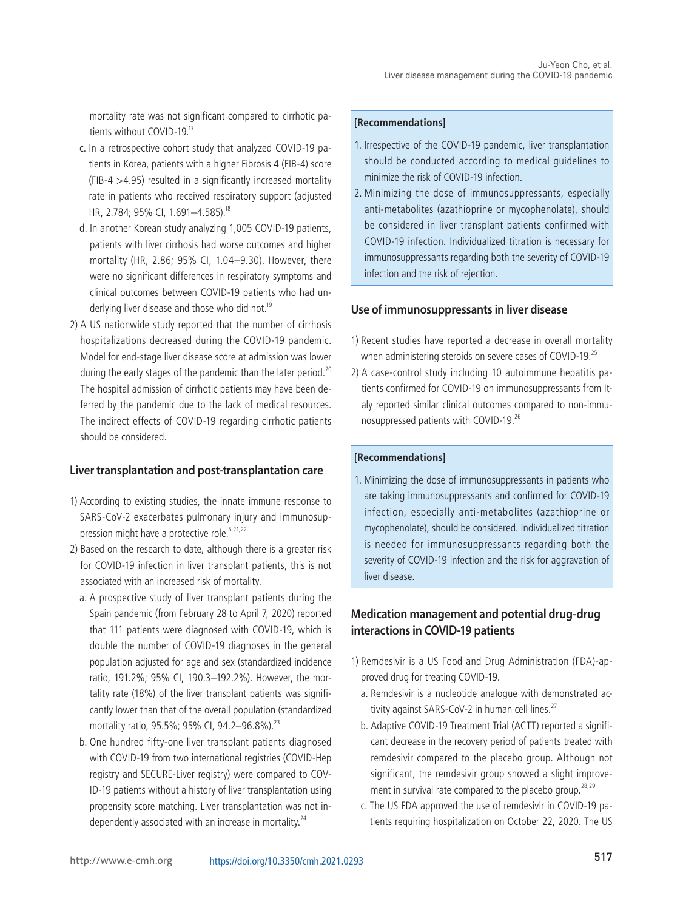mortality rate was not significant compared to cirrhotic patients without COVID-19<sup>17</sup>

- c. In a retrospective cohort study that analyzed COVID-19 patients in Korea, patients with a higher Fibrosis 4 (FIB-4) score (FIB-4 >4.95) resulted in a significantly increased mortality rate in patients who received respiratory support (adjusted HR, 2.784; 95% Cl, 1.691-4.585).<sup>18</sup>
- d. In another Korean study analyzing 1,005 COVID-19 patients, patients with liver cirrhosis had worse outcomes and higher mortality (HR, 2.86; 95% CI, 1.04–9.30). However, there were no significant differences in respiratory symptoms and clinical outcomes between COVID-19 patients who had underlying liver disease and those who did not.<sup>19</sup>
- 2) A US nationwide study reported that the number of cirrhosis hospitalizations decreased during the COVID-19 pandemic. Model for end-stage liver disease score at admission was lower during the early stages of the pandemic than the later period.<sup>20</sup> The hospital admission of cirrhotic patients may have been deferred by the pandemic due to the lack of medical resources. The indirect effects of COVID-19 regarding cirrhotic patients should be considered.

### **Liver transplantation and post-transplantation care**

- 1) According to existing studies, the innate immune response to SARS-CoV-2 exacerbates pulmonary injury and immunosuppression might have a protective role.<sup>5,21,22</sup>
- 2) Based on the research to date, although there is a greater risk for COVID-19 infection in liver transplant patients, this is not associated with an increased risk of mortality.
	- a. A prospective study of liver transplant patients during the Spain pandemic (from February 28 to April 7, 2020) reported that 111 patients were diagnosed with COVID-19, which is double the number of COVID-19 diagnoses in the general population adjusted for age and sex (standardized incidence ratio, 191.2%; 95% CI, 190.3–192.2%). However, the mortality rate (18%) of the liver transplant patients was significantly lower than that of the overall population (standardized mortality ratio, 95.5%; 95% CI, 94.2-96.8%).<sup>23</sup>
	- b. One hundred fifty-one liver transplant patients diagnosed with COVID-19 from two international registries (COVID-Hep registry and SECURE-Liver registry) were compared to COV-ID-19 patients without a history of liver transplantation using propensity score matching. Liver transplantation was not independently associated with an increase in mortality.<sup>24</sup>

#### **[Recommendations]**

- 1. Irrespective of the COVID-19 pandemic, liver transplantation should be conducted according to medical guidelines to minimize the risk of COVID-19 infection.
- 2. Minimizing the dose of immunosuppressants, especially anti-metabolites (azathioprine or mycophenolate), should be considered in liver transplant patients confirmed with COVID-19 infection. Individualized titration is necessary for immunosuppressants regarding both the severity of COVID-19 infection and the risk of rejection.

### **Use of immunosuppressants in liver disease**

- 1) Recent studies have reported a decrease in overall mortality when administering steroids on severe cases of COVID-19.<sup>25</sup>
- 2) A case-control study including 10 autoimmune hepatitis patients confirmed for COVID-19 on immunosuppressants from Italy reported similar clinical outcomes compared to non-immunosuppressed patients with COVID-19.<sup>26</sup>

#### **[Recommendations]**

1. Minimizing the dose of immunosuppressants in patients who are taking immunosuppressants and confirmed for COVID-19 infection, especially anti-metabolites (azathioprine or mycophenolate), should be considered. Individualized titration is needed for immunosuppressants regarding both the severity of COVID-19 infection and the risk for aggravation of liver disease.

# **Medication management and potential drug-drug interactions in COVID-19 patients**

- 1) Remdesivir is a US Food and Drug Administration (FDA)-approved drug for treating COVID-19.
	- a. Remdesivir is a nucleotide analogue with demonstrated activity against SARS-CoV-2 in human cell lines.<sup>27</sup>
	- b. Adaptive COVID-19 Treatment Trial (ACTT) reported a significant decrease in the recovery period of patients treated with remdesivir compared to the placebo group. Although not significant, the remdesivir group showed a slight improvement in survival rate compared to the placebo group.<sup>28,29</sup>
	- c. The US FDA approved the use of remdesivir in COVID-19 patients requiring hospitalization on October 22, 2020. The US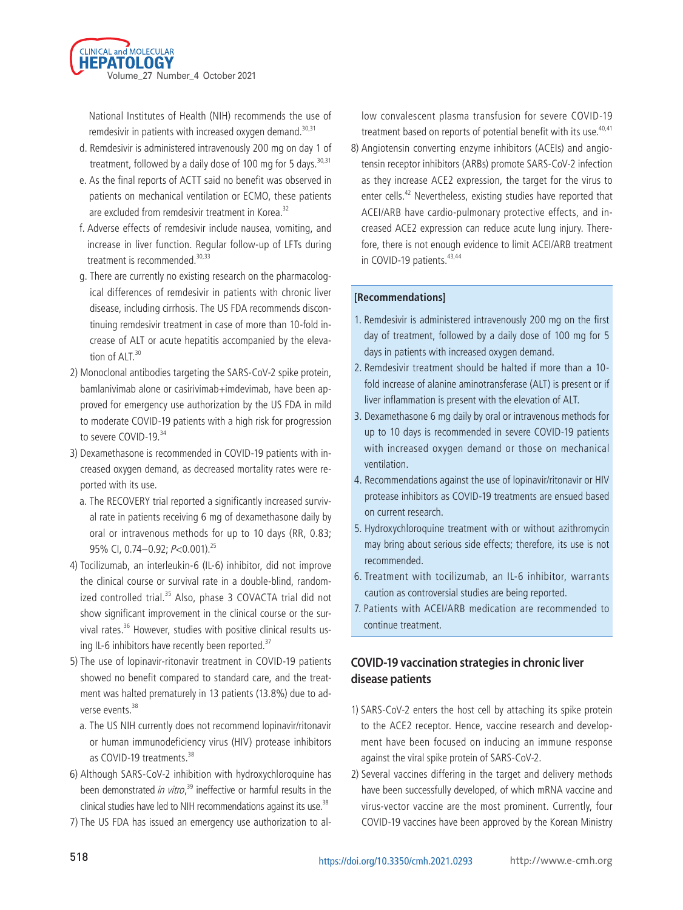

National Institutes of Health (NIH) recommends the use of remdesivir in patients with increased oxygen demand.<sup>30,31</sup>

- d. Remdesivir is administered intravenously 200 mg on day 1 of treatment, followed by a daily dose of 100 mg for 5 days.  $30,31$
- e. As the final reports of ACTT said no benefit was observed in patients on mechanical ventilation or ECMO, these patients are excluded from remdesivir treatment in Korea.<sup>32</sup>
- f. Adverse effects of remdesivir include nausea, vomiting, and increase in liver function. Regular follow-up of LFTs during treatment is recommended.<sup>30,33</sup>
- g. There are currently no existing research on the pharmacological differences of remdesivir in patients with chronic liver disease, including cirrhosis. The US FDA recommends discontinuing remdesivir treatment in case of more than 10-fold increase of ALT or acute hepatitis accompanied by the elevation of  $ALT$ .<sup>30</sup>
- 2) Monoclonal antibodies targeting the SARS-CoV-2 spike protein, bamlanivimab alone or casirivimab+imdevimab, have been approved for emergency use authorization by the US FDA in mild to moderate COVID-19 patients with a high risk for progression to severe COVID-19.34
- 3) Dexamethasone is recommended in COVID-19 patients with increased oxygen demand, as decreased mortality rates were reported with its use.
	- a. The RECOVERY trial reported a significantly increased survival rate in patients receiving 6 mg of dexamethasone daily by oral or intravenous methods for up to 10 days (RR, 0.83; 95% CI, 0.74-0.92;  $P<$ 0.001).<sup>25</sup>
- 4) Tocilizumab, an interleukin-6 (IL-6) inhibitor, did not improve the clinical course or survival rate in a double-blind, randomized controlled trial.<sup>35</sup> Also, phase 3 COVACTA trial did not show significant improvement in the clinical course or the survival rates.<sup>36</sup> However, studies with positive clinical results using IL-6 inhibitors have recently been reported.<sup>37</sup>
- 5) The use of lopinavir-ritonavir treatment in COVID-19 patients showed no benefit compared to standard care, and the treatment was halted prematurely in 13 patients (13.8%) due to adverse events.<sup>38</sup>
	- a. The US NIH currently does not recommend lopinavir/ritonavir or human immunodeficiency virus (HIV) protease inhibitors as COVID-19 treatments.<sup>38</sup>
- 6) Although SARS-CoV-2 inhibition with hydroxychloroquine has been demonstrated in vitro,<sup>39</sup> ineffective or harmful results in the clinical studies have led to NIH recommendations against its use.<sup>38</sup>
- 7) The US FDA has issued an emergency use authorization to al-

low convalescent plasma transfusion for severe COVID-19 treatment based on reports of potential benefit with its use.<sup>40,41</sup>

8) Angiotensin converting enzyme inhibitors (ACEIs) and angiotensin receptor inhibitors (ARBs) promote SARS-CoV-2 infection as they increase ACE2 expression, the target for the virus to enter cells.<sup>42</sup> Nevertheless, existing studies have reported that ACEI/ARB have cardio-pulmonary protective effects, and increased ACE2 expression can reduce acute lung injury. Therefore, there is not enough evidence to limit ACEI/ARB treatment in COVID-19 patients.<sup>43,44</sup>

#### **[Recommendations]**

- 1. Remdesivir is administered intravenously 200 mg on the first day of treatment, followed by a daily dose of 100 mg for 5 days in patients with increased oxygen demand.
- 2. Remdesivir treatment should be halted if more than a 10 fold increase of alanine aminotransferase (ALT) is present or if liver inflammation is present with the elevation of ALT.
- 3. Dexamethasone 6 mg daily by oral or intravenous methods for up to 10 days is recommended in severe COVID-19 patients with increased oxygen demand or those on mechanical ventilation.
- 4. Recommendations against the use of lopinavir/ritonavir or HIV protease inhibitors as COVID-19 treatments are ensued based on current research.
- 5. Hydroxychloroquine treatment with or without azithromycin may bring about serious side effects; therefore, its use is not recommended.
- 6. Treatment with tocilizumab, an IL-6 inhibitor, warrants caution as controversial studies are being reported.
- 7. Patients with ACEI/ARB medication are recommended to continue treatment.

# **COVID-19 vaccination strategies in chronic liver disease patients**

- 1) SARS-CoV-2 enters the host cell by attaching its spike protein to the ACE2 receptor. Hence, vaccine research and development have been focused on inducing an immune response against the viral spike protein of SARS-CoV-2.
- 2) Several vaccines differing in the target and delivery methods have been successfully developed, of which mRNA vaccine and virus-vector vaccine are the most prominent. Currently, four COVID-19 vaccines have been approved by the Korean Ministry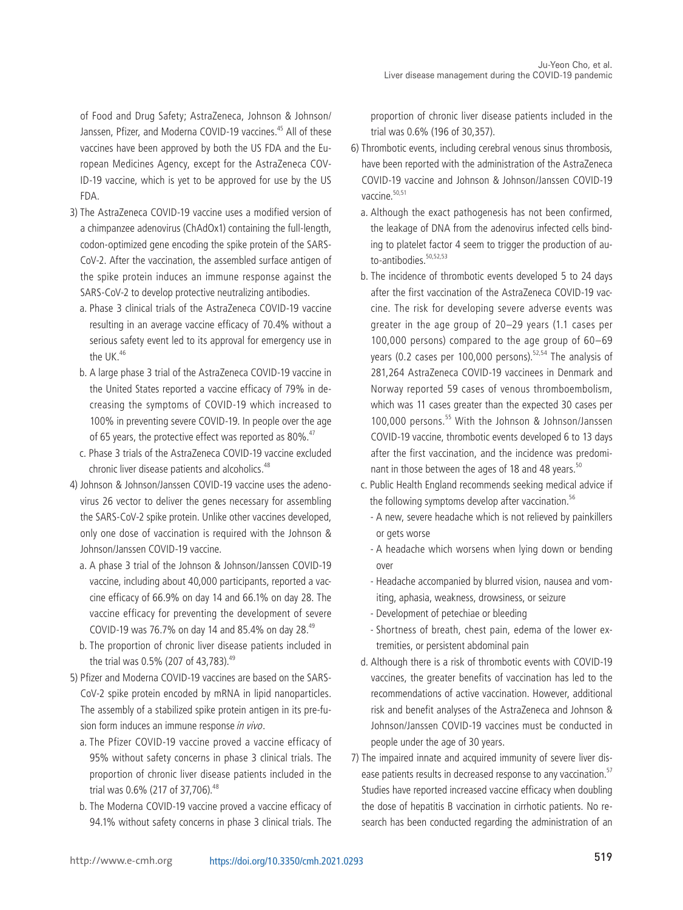of Food and Drug Safety; AstraZeneca, Johnson & Johnson/ Janssen, Pfizer, and Moderna COVID-19 vaccines.<sup>45</sup> All of these vaccines have been approved by both the US FDA and the European Medicines Agency, except for the AstraZeneca COV-ID-19 vaccine, which is yet to be approved for use by the US FDA.

- 3) The AstraZeneca COVID-19 vaccine uses a modified version of a chimpanzee adenovirus (ChAdOx1) containing the full-length, codon-optimized gene encoding the spike protein of the SARS-CoV-2. After the vaccination, the assembled surface antigen of the spike protein induces an immune response against the SARS-CoV-2 to develop protective neutralizing antibodies.
	- a. Phase 3 clinical trials of the AstraZeneca COVID-19 vaccine resulting in an average vaccine efficacy of 70.4% without a serious safety event led to its approval for emergency use in the UK.46
	- b. A large phase 3 trial of the AstraZeneca COVID-19 vaccine in the United States reported a vaccine efficacy of 79% in decreasing the symptoms of COVID-19 which increased to 100% in preventing severe COVID-19. In people over the age of 65 years, the protective effect was reported as  $80\%$ .<sup>47</sup>
	- c. Phase 3 trials of the AstraZeneca COVID-19 vaccine excluded chronic liver disease patients and alcoholics.<sup>48</sup>
- 4) Johnson & Johnson/Janssen COVID-19 vaccine uses the adenovirus 26 vector to deliver the genes necessary for assembling the SARS-CoV-2 spike protein. Unlike other vaccines developed, only one dose of vaccination is required with the Johnson & Johnson/Janssen COVID-19 vaccine.
	- a. A phase 3 trial of the Johnson & Johnson/Janssen COVID-19 vaccine, including about 40,000 participants, reported a vaccine efficacy of 66.9% on day 14 and 66.1% on day 28. The vaccine efficacy for preventing the development of severe COVID-19 was 76.7% on day 14 and 85.4% on day 28.49
	- b. The proportion of chronic liver disease patients included in the trial was 0.5% (207 of 43,783).<sup>49</sup>
- 5) Pfizer and Moderna COVID-19 vaccines are based on the SARS-CoV-2 spike protein encoded by mRNA in lipid nanoparticles. The assembly of a stabilized spike protein antigen in its pre-fusion form induces an immune response in vivo.
	- a. The Pfizer COVID-19 vaccine proved a vaccine efficacy of 95% without safety concerns in phase 3 clinical trials. The proportion of chronic liver disease patients included in the trial was 0.6% (217 of 37,706).<sup>48</sup>
	- b. The Moderna COVID-19 vaccine proved a vaccine efficacy of 94.1% without safety concerns in phase 3 clinical trials. The

proportion of chronic liver disease patients included in the trial was 0.6% (196 of 30,357).

- 6) Thrombotic events, including cerebral venous sinus thrombosis, have been reported with the administration of the AstraZeneca COVID-19 vaccine and Johnson & Johnson/Janssen COVID-19 vaccine.<sup>50,51</sup>
	- a. Although the exact pathogenesis has not been confirmed, the leakage of DNA from the adenovirus infected cells binding to platelet factor 4 seem to trigger the production of auto-antibodies<sup>50,52,53</sup>
	- b. The incidence of thrombotic events developed 5 to 24 days after the first vaccination of the AstraZeneca COVID-19 vaccine. The risk for developing severe adverse events was greater in the age group of 20–29 years (1.1 cases per 100,000 persons) compared to the age group of 60–69 years (0.2 cases per 100,000 persons).<sup>52,54</sup> The analysis of 281,264 AstraZeneca COVID-19 vaccinees in Denmark and Norway reported 59 cases of venous thromboembolism, which was 11 cases greater than the expected 30 cases per 100,000 persons.<sup>55</sup> With the Johnson & Johnson/Janssen COVID-19 vaccine, thrombotic events developed 6 to 13 days after the first vaccination, and the incidence was predominant in those between the ages of 18 and 48 years.<sup>50</sup>
	- c. Public Health England recommends seeking medical advice if the following symptoms develop after vaccination.<sup>56</sup>
		- A new, severe headache which is not relieved by painkillers or gets worse
		- A headache which worsens when lying down or bending over
		- Headache accompanied by blurred vision, nausea and vomiting, aphasia, weakness, drowsiness, or seizure
		- Development of petechiae or bleeding
		- Shortness of breath, chest pain, edema of the lower extremities, or persistent abdominal pain
	- d. Although there is a risk of thrombotic events with COVID-19 vaccines, the greater benefits of vaccination has led to the recommendations of active vaccination. However, additional risk and benefit analyses of the AstraZeneca and Johnson & Johnson/Janssen COVID-19 vaccines must be conducted in people under the age of 30 years.
- 7) The impaired innate and acquired immunity of severe liver disease patients results in decreased response to any vaccination.<sup>57</sup> Studies have reported increased vaccine efficacy when doubling the dose of hepatitis B vaccination in cirrhotic patients. No research has been conducted regarding the administration of an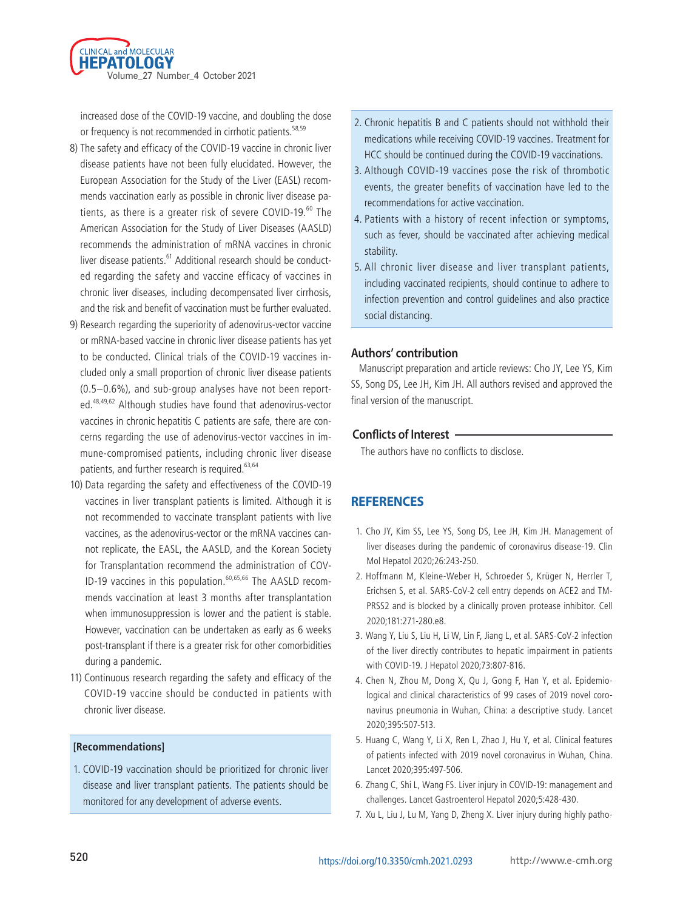

increased dose of the COVID-19 vaccine, and doubling the dose or frequency is not recommended in cirrhotic patients.<sup>58,59</sup>

- 8) The safety and efficacy of the COVID-19 vaccine in chronic liver disease patients have not been fully elucidated. However, the European Association for the Study of the Liver (EASL) recommends vaccination early as possible in chronic liver disease patients, as there is a greater risk of severe COVID-19.<sup>60</sup> The American Association for the Study of Liver Diseases (AASLD) recommends the administration of mRNA vaccines in chronic liver disease patients.<sup>61</sup> Additional research should be conducted regarding the safety and vaccine efficacy of vaccines in chronic liver diseases, including decompensated liver cirrhosis, and the risk and benefit of vaccination must be further evaluated.
- 9) Research regarding the superiority of adenovirus-vector vaccine or mRNA-based vaccine in chronic liver disease patients has yet to be conducted. Clinical trials of the COVID-19 vaccines included only a small proportion of chronic liver disease patients (0.5–0.6%), and sub-group analyses have not been reported.48,49,62 Although studies have found that adenovirus-vector vaccines in chronic hepatitis C patients are safe, there are concerns regarding the use of adenovirus-vector vaccines in immune-compromised patients, including chronic liver disease patients, and further research is required.<sup>63,64</sup>
- 10) Data regarding the safety and effectiveness of the COVID-19 vaccines in liver transplant patients is limited. Although it is not recommended to vaccinate transplant patients with live vaccines, as the adenovirus-vector or the mRNA vaccines cannot replicate, the EASL, the AASLD, and the Korean Society for Transplantation recommend the administration of COV-ID-19 vaccines in this population.<sup>60,65,66</sup> The AASLD recommends vaccination at least 3 months after transplantation when immunosuppression is lower and the patient is stable. However, vaccination can be undertaken as early as 6 weeks post-transplant if there is a greater risk for other comorbidities during a pandemic.
- 11) Continuous research regarding the safety and efficacy of the COVID-19 vaccine should be conducted in patients with chronic liver disease.

#### **[Recommendations]**

1. COVID-19 vaccination should be prioritized for chronic liver disease and liver transplant patients. The patients should be monitored for any development of adverse events.

- 2. Chronic hepatitis B and C patients should not withhold their medications while receiving COVID-19 vaccines. Treatment for HCC should be continued during the COVID-19 vaccinations.
- 3. Although COVID-19 vaccines pose the risk of thrombotic events, the greater benefits of vaccination have led to the recommendations for active vaccination.
- 4. Patients with a history of recent infection or symptoms, such as fever, should be vaccinated after achieving medical stability.
- 5. All chronic liver disease and liver transplant patients, including vaccinated recipients, should continue to adhere to infection prevention and control guidelines and also practice social distancing.

#### **Authors' contribution**

Manuscript preparation and article reviews: Cho JY, Lee YS, Kim SS, Song DS, Lee JH, Kim JH. All authors revised and approved the final version of the manuscript.

#### **Conflicts of Interest**

The authors have no conflicts to disclose.

#### **REFERENCES**

- 1. Cho JY, Kim SS, Lee YS, Song DS, Lee JH, Kim JH. Management of liver diseases during the pandemic of coronavirus disease-19. Clin Mol Hepatol 2020;26:243-250.
- 2. Hoffmann M, Kleine-Weber H, Schroeder S, Krüger N, Herrler T, Erichsen S, et al. SARS-CoV-2 cell entry depends on ACE2 and TM-PRSS2 and is blocked by a clinically proven protease inhibitor. Cell 2020;181:271-280.e8.
- 3. Wang Y, Liu S, Liu H, Li W, Lin F, Jiang L, et al. SARS-CoV-2 infection of the liver directly contributes to hepatic impairment in patients with COVID-19. J Hepatol 2020;73:807-816.
- 4. Chen N, Zhou M, Dong X, Qu J, Gong F, Han Y, et al. Epidemiological and clinical characteristics of 99 cases of 2019 novel coronavirus pneumonia in Wuhan, China: a descriptive study. Lancet 2020;395:507-513.
- 5. Huang C, Wang Y, Li X, Ren L, Zhao J, Hu Y, et al. Clinical features of patients infected with 2019 novel coronavirus in Wuhan, China. Lancet 2020;395:497-506.
- 6. Zhang C, Shi L, Wang FS. Liver injury in COVID-19: management and challenges. Lancet Gastroenterol Hepatol 2020;5:428-430.
- 7. Xu L, Liu J, Lu M, Yang D, Zheng X. Liver injury during highly patho-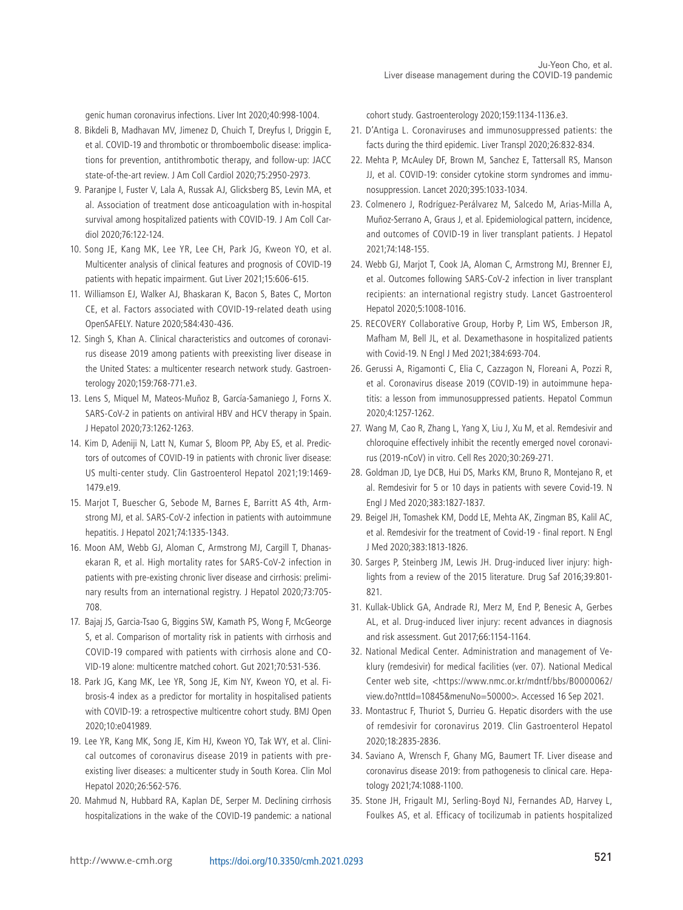genic human coronavirus infections. Liver Int 2020;40:998-1004.

- 8. Bikdeli B, Madhavan MV, Jimenez D, Chuich T, Dreyfus I, Driggin E, et al. COVID-19 and thrombotic or thromboembolic disease: implications for prevention, antithrombotic therapy, and follow-up: JACC state-of-the-art review. J Am Coll Cardiol 2020;75:2950-2973.
- 9. Paranjpe I, Fuster V, Lala A, Russak AJ, Glicksberg BS, Levin MA, et al. Association of treatment dose anticoagulation with in-hospital survival among hospitalized patients with COVID-19. J Am Coll Cardiol 2020;76:122-124.
- 10. Song JE, Kang MK, Lee YR, Lee CH, Park JG, Kweon YO, et al. Multicenter analysis of clinical features and prognosis of COVID-19 patients with hepatic impairment. Gut Liver 2021;15:606-615.
- 11. Williamson EJ, Walker AJ, Bhaskaran K, Bacon S, Bates C, Morton CE, et al. Factors associated with COVID-19-related death using OpenSAFELY. Nature 2020;584:430-436.
- 12. Singh S, Khan A. Clinical characteristics and outcomes of coronavirus disease 2019 among patients with preexisting liver disease in the United States: a multicenter research network study. Gastroenterology 2020;159:768-771.e3.
- 13. Lens S, Miquel M, Mateos-Muñoz B, García-Samaniego J, Forns X. SARS-CoV-2 in patients on antiviral HBV and HCV therapy in Spain. J Hepatol 2020;73:1262-1263.
- 14. Kim D, Adeniji N, Latt N, Kumar S, Bloom PP, Aby ES, et al. Predictors of outcomes of COVID-19 in patients with chronic liver disease: US multi-center study. Clin Gastroenterol Hepatol 2021;19:1469- 1479.e19.
- 15. Marjot T, Buescher G, Sebode M, Barnes E, Barritt AS 4th, Armstrong MJ, et al. SARS-CoV-2 infection in patients with autoimmune hepatitis. J Hepatol 2021;74:1335-1343.
- 16. Moon AM, Webb GJ, Aloman C, Armstrong MJ, Cargill T, Dhanasekaran R, et al. High mortality rates for SARS-CoV-2 infection in patients with pre-existing chronic liver disease and cirrhosis: preliminary results from an international registry. J Hepatol 2020;73:705- 708.
- 17. Bajaj JS, Garcia-Tsao G, Biggins SW, Kamath PS, Wong F, McGeorge S, et al. Comparison of mortality risk in patients with cirrhosis and COVID-19 compared with patients with cirrhosis alone and CO-VID-19 alone: multicentre matched cohort. Gut 2021;70:531-536.
- 18. Park JG, Kang MK, Lee YR, Song JE, Kim NY, Kweon YO, et al. Fibrosis-4 index as a predictor for mortality in hospitalised patients with COVID-19: a retrospective multicentre cohort study. BMJ Open 2020;10:e041989.
- 19. Lee YR, Kang MK, Song JE, Kim HJ, Kweon YO, Tak WY, et al. Clinical outcomes of coronavirus disease 2019 in patients with preexisting liver diseases: a multicenter study in South Korea. Clin Mol Hepatol 2020;26:562-576.
- 20. Mahmud N, Hubbard RA, Kaplan DE, Serper M. Declining cirrhosis hospitalizations in the wake of the COVID-19 pandemic: a national

cohort study. Gastroenterology 2020;159:1134-1136.e3.

- 21. D'Antiga L. Coronaviruses and immunosuppressed patients: the facts during the third epidemic. Liver Transpl 2020;26:832-834.
- 22. Mehta P, McAuley DF, Brown M, Sanchez E, Tattersall RS, Manson JJ, et al. COVID-19: consider cytokine storm syndromes and immunosuppression. Lancet 2020;395:1033-1034.
- 23. Colmenero J, Rodríguez-Perálvarez M, Salcedo M, Arias-Milla A, Muñoz-Serrano A, Graus J, et al. Epidemiological pattern, incidence, and outcomes of COVID-19 in liver transplant patients. J Hepatol 2021;74:148-155.
- 24. Webb GJ, Marjot T, Cook JA, Aloman C, Armstrong MJ, Brenner EJ, et al. Outcomes following SARS-CoV-2 infection in liver transplant recipients: an international registry study. Lancet Gastroenterol Hepatol 2020;5:1008-1016.
- 25. RECOVERY Collaborative Group, Horby P, Lim WS, Emberson JR, Mafham M, Bell JL, et al. Dexamethasone in hospitalized patients with Covid-19. N Engl J Med 2021;384:693-704.
- 26. Gerussi A, Rigamonti C, Elia C, Cazzagon N, Floreani A, Pozzi R, et al. Coronavirus disease 2019 (COVID-19) in autoimmune hepatitis: a lesson from immunosuppressed patients. Hepatol Commun 2020;4:1257-1262.
- 27. Wang M, Cao R, Zhang L, Yang X, Liu J, Xu M, et al. Remdesivir and chloroquine effectively inhibit the recently emerged novel coronavirus (2019-nCoV) in vitro. Cell Res 2020;30:269-271.
- 28. Goldman JD, Lye DCB, Hui DS, Marks KM, Bruno R, Montejano R, et al. Remdesivir for 5 or 10 days in patients with severe Covid-19. N Engl J Med 2020;383:1827-1837.
- 29. Beigel JH, Tomashek KM, Dodd LE, Mehta AK, Zingman BS, Kalil AC, et al. Remdesivir for the treatment of Covid-19 - final report. N Engl J Med 2020;383:1813-1826.
- 30. Sarges P, Steinberg JM, Lewis JH. Drug-induced liver injury: highlights from a review of the 2015 literature. Drug Saf 2016;39:801- 821.
- 31. Kullak-Ublick GA, Andrade RJ, Merz M, End P, Benesic A, Gerbes AL, et al. Drug-induced liver injury: recent advances in diagnosis and risk assessment. Gut 2017;66:1154-1164.
- 32. National Medical Center. Administration and management of Veklury (remdesivir) for medical facilities (ver. 07). National Medical Center web site, <https://www.nmc.or.kr/mdntf/bbs/B0000062/ view.do?nttId=10845&menuNo=50000>. Accessed 16 Sep 2021.
- 33. Montastruc F, Thuriot S, Durrieu G. Hepatic disorders with the use of remdesivir for coronavirus 2019. Clin Gastroenterol Hepatol 2020;18:2835-2836.
- 34. Saviano A, Wrensch F, Ghany MG, Baumert TF. Liver disease and coronavirus disease 2019: from pathogenesis to clinical care. Hepatology 2021;74:1088-1100.
- 35. Stone JH, Frigault MJ, Serling-Boyd NJ, Fernandes AD, Harvey L, Foulkes AS, et al. Efficacy of tocilizumab in patients hospitalized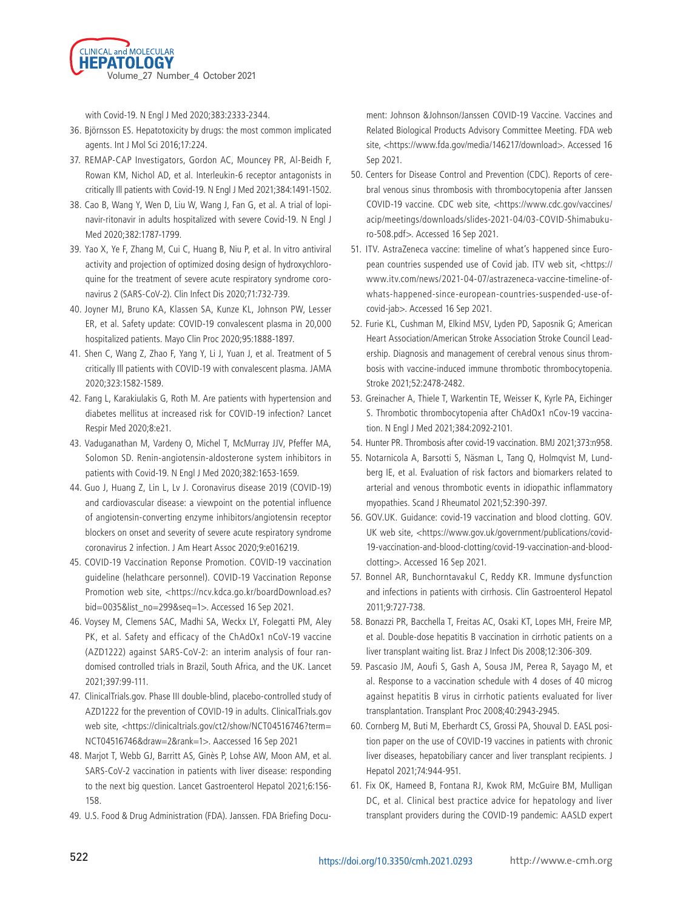

with Covid-19. N Engl J Med 2020;383:2333-2344.

- 36. Björnsson ES. Hepatotoxicity by drugs: the most common implicated agents. Int J Mol Sci 2016;17:224.
- 37. REMAP-CAP Investigators, Gordon AC, Mouncey PR, Al-Beidh F, Rowan KM, Nichol AD, et al. Interleukin-6 receptor antagonists in critically Ill patients with Covid-19. N Engl J Med 2021;384:1491-1502.
- 38. Cao B, Wang Y, Wen D, Liu W, Wang J, Fan G, et al. A trial of lopinavir-ritonavir in adults hospitalized with severe Covid-19. N Engl J Med 2020;382:1787-1799.
- 39. Yao X, Ye F, Zhang M, Cui C, Huang B, Niu P, et al. In vitro antiviral activity and projection of optimized dosing design of hydroxychloroquine for the treatment of severe acute respiratory syndrome coronavirus 2 (SARS-CoV-2). Clin Infect Dis 2020;71:732-739.
- 40. Joyner MJ, Bruno KA, Klassen SA, Kunze KL, Johnson PW, Lesser ER, et al. Safety update: COVID-19 convalescent plasma in 20,000 hospitalized patients. Mayo Clin Proc 2020;95:1888-1897.
- 41. Shen C, Wang Z, Zhao F, Yang Y, Li J, Yuan J, et al. Treatment of 5 critically Ill patients with COVID-19 with convalescent plasma. JAMA 2020;323:1582-1589.
- 42. Fang L, Karakiulakis G, Roth M. Are patients with hypertension and diabetes mellitus at increased risk for COVID-19 infection? Lancet Respir Med 2020;8:e21.
- 43. Vaduganathan M, Vardeny O, Michel T, McMurray JJV, Pfeffer MA, Solomon SD. Renin-angiotensin-aldosterone system inhibitors in patients with Covid-19. N Engl J Med 2020;382:1653-1659.
- 44. Guo J, Huang Z, Lin L, Lv J. Coronavirus disease 2019 (COVID-19) and cardiovascular disease: a viewpoint on the potential influence of angiotensin-converting enzyme inhibitors/angiotensin receptor blockers on onset and severity of severe acute respiratory syndrome coronavirus 2 infection. J Am Heart Assoc 2020;9:e016219.
- 45. COVID-19 Vaccination Reponse Promotion. COVID-19 vaccination guideline (helathcare personnel). COVID-19 Vaccination Reponse Promotion web site, <https://ncv.kdca.go.kr/boardDownload.es? bid=0035&list\_no=299&seq=1>. Accessed 16 Sep 2021.
- 46. Voysey M, Clemens SAC, Madhi SA, Weckx LY, Folegatti PM, Aley PK, et al. Safety and efficacy of the ChAdOx1 nCoV-19 vaccine (AZD1222) against SARS-CoV-2: an interim analysis of four randomised controlled trials in Brazil, South Africa, and the UK. Lancet 2021;397:99-111.
- 47. ClinicalTrials.gov. Phase III double-blind, placebo-controlled study of AZD1222 for the prevention of COVID-19 in adults. ClinicalTrials.gov web site, <https://clinicaltrials.gov/ct2/show/NCT04516746?term= NCT04516746&draw=2&rank=1>. Aaccessed 16 Sep 2021
- 48. Marjot T, Webb GJ, Barritt AS, Ginès P, Lohse AW, Moon AM, et al. SARS-CoV-2 vaccination in patients with liver disease: responding to the next big question. Lancet Gastroenterol Hepatol 2021;6:156- 158.
- 49. U.S. Food & Drug Administration (FDA). Janssen. FDA Briefing Docu-

ment: Johnson &Johnson/Janssen COVID-19 Vaccine. Vaccines and Related Biological Products Advisory Committee Meeting. FDA web site, <https://www.fda.gov/media/146217/download>. Accessed 16 Sep 2021.

- 50. Centers for Disease Control and Prevention (CDC). Reports of cerebral venous sinus thrombosis with thrombocytopenia after Janssen COVID-19 vaccine. CDC web site, <https://www.cdc.gov/vaccines/ acip/meetings/downloads/slides-2021-04/03-COVID-Shimabukuro-508.pdf>. Accessed 16 Sep 2021.
- 51. ITV. AstraZeneca vaccine: timeline of what's happened since European countries suspended use of Covid jab. ITV web sit, <https:// www.itv.com/news/2021-04-07/astrazeneca-vaccine-timeline-ofwhats-happened-since-european-countries-suspended-use-ofcovid-jab>. Accessed 16 Sep 2021.
- 52. Furie KL, Cushman M, Elkind MSV, Lyden PD, Saposnik G; American Heart Association/American Stroke Association Stroke Council Leadership. Diagnosis and management of cerebral venous sinus thrombosis with vaccine-induced immune thrombotic thrombocytopenia. Stroke 2021;52:2478-2482.
- 53. Greinacher A, Thiele T, Warkentin TE, Weisser K, Kyrle PA, Eichinger S. Thrombotic thrombocytopenia after ChAdOx1 nCov-19 vaccination. N Engl J Med 2021;384:2092-2101.
- 54. Hunter PR. Thrombosis after covid-19 vaccination. BMJ 2021;373:n958.
- 55. Notarnicola A, Barsotti S, Näsman L, Tang Q, Holmqvist M, Lundberg IE, et al. Evaluation of risk factors and biomarkers related to arterial and venous thrombotic events in idiopathic inflammatory myopathies. Scand J Rheumatol 2021;52:390-397.
- 56. GOV.UK. Guidance: covid-19 vaccination and blood clotting. GOV. UK web site, <https://www.gov.uk/government/publications/covid-19-vaccination-and-blood-clotting/covid-19-vaccination-and-bloodclotting>. Accessed 16 Sep 2021.
- 57. Bonnel AR, Bunchorntavakul C, Reddy KR. Immune dysfunction and infections in patients with cirrhosis. Clin Gastroenterol Hepatol 2011;9:727-738.
- 58. Bonazzi PR, Bacchella T, Freitas AC, Osaki KT, Lopes MH, Freire MP, et al. Double-dose hepatitis B vaccination in cirrhotic patients on a liver transplant waiting list. Braz J Infect Dis 2008;12:306-309.
- 59. Pascasio JM, Aoufi S, Gash A, Sousa JM, Perea R, Sayago M, et al. Response to a vaccination schedule with 4 doses of 40 microg against hepatitis B virus in cirrhotic patients evaluated for liver transplantation. Transplant Proc 2008;40:2943-2945.
- 60. Cornberg M, Buti M, Eberhardt CS, Grossi PA, Shouval D. EASL position paper on the use of COVID-19 vaccines in patients with chronic liver diseases, hepatobiliary cancer and liver transplant recipients. J Hepatol 2021;74:944-951.
- 61. Fix OK, Hameed B, Fontana RJ, Kwok RM, McGuire BM, Mulligan DC, et al. Clinical best practice advice for hepatology and liver transplant providers during the COVID-19 pandemic: AASLD expert